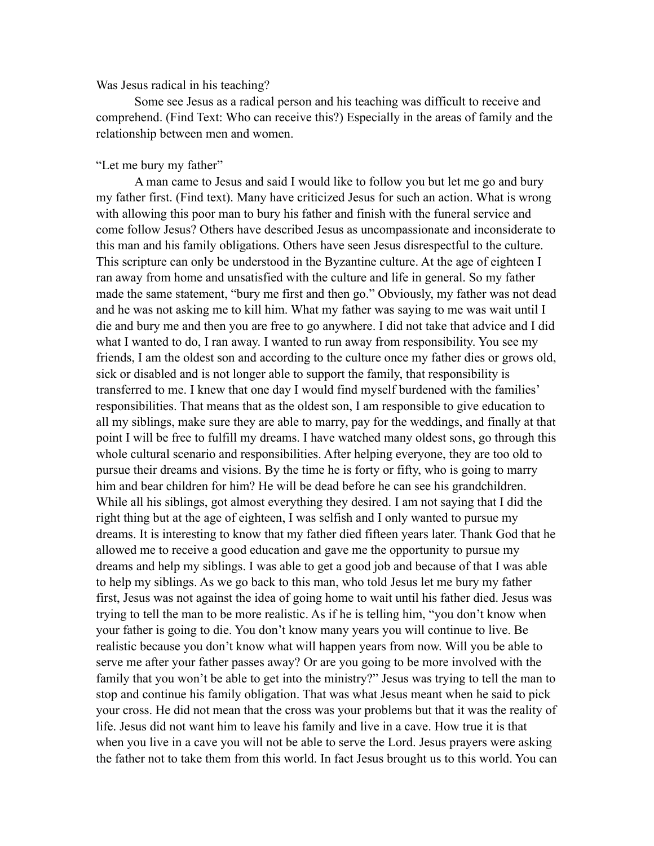## Was Jesus radical in his teaching?

 Some see Jesus as a radical person and his teaching was difficult to receive and comprehend. (Find Text: Who can receive this?) Especially in the areas of family and the relationship between men and women.

## "Let me bury my father"

 A man came to Jesus and said I would like to follow you but let me go and bury my father first. (Find text). Many have criticized Jesus for such an action. What is wrong with allowing this poor man to bury his father and finish with the funeral service and come follow Jesus? Others have described Jesus as uncompassionate and inconsiderate to this man and his family obligations. Others have seen Jesus disrespectful to the culture. This scripture can only be understood in the Byzantine culture. At the age of eighteen I ran away from home and unsatisfied with the culture and life in general. So my father made the same statement, "bury me first and then go." Obviously, my father was not dead and he was not asking me to kill him. What my father was saying to me was wait until I die and bury me and then you are free to go anywhere. I did not take that advice and I did what I wanted to do, I ran away. I wanted to run away from responsibility. You see my friends, I am the oldest son and according to the culture once my father dies or grows old, sick or disabled and is not longer able to support the family, that responsibility is transferred to me. I knew that one day I would find myself burdened with the families' responsibilities. That means that as the oldest son, I am responsible to give education to all my siblings, make sure they are able to marry, pay for the weddings, and finally at that point I will be free to fulfill my dreams. I have watched many oldest sons, go through this whole cultural scenario and responsibilities. After helping everyone, they are too old to pursue their dreams and visions. By the time he is forty or fifty, who is going to marry him and bear children for him? He will be dead before he can see his grandchildren. While all his siblings, got almost everything they desired. I am not saying that I did the right thing but at the age of eighteen, I was selfish and I only wanted to pursue my dreams. It is interesting to know that my father died fifteen years later. Thank God that he allowed me to receive a good education and gave me the opportunity to pursue my dreams and help my siblings. I was able to get a good job and because of that I was able to help my siblings. As we go back to this man, who told Jesus let me bury my father first, Jesus was not against the idea of going home to wait until his father died. Jesus was trying to tell the man to be more realistic. As if he is telling him, "you don't know when your father is going to die. You don't know many years you will continue to live. Be realistic because you don't know what will happen years from now. Will you be able to serve me after your father passes away? Or are you going to be more involved with the family that you won't be able to get into the ministry?" Jesus was trying to tell the man to stop and continue his family obligation. That was what Jesus meant when he said to pick your cross. He did not mean that the cross was your problems but that it was the reality of life. Jesus did not want him to leave his family and live in a cave. How true it is that when you live in a cave you will not be able to serve the Lord. Jesus prayers were asking the father not to take them from this world. In fact Jesus brought us to this world. You can